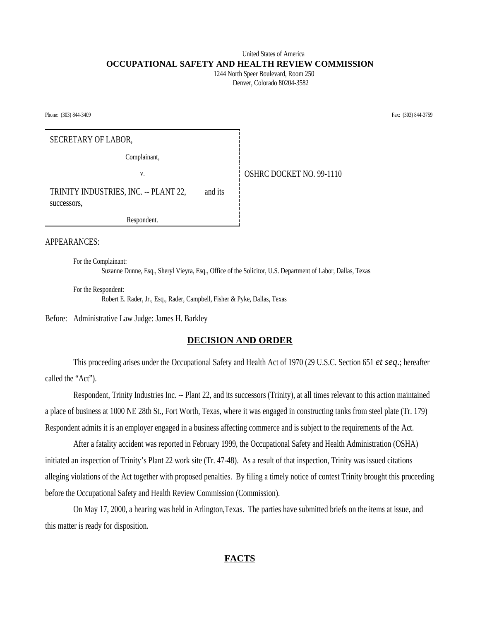## United States of America **OCCUPATIONAL SAFETY AND HEALTH REVIEW COMMISSION**

 1244 North Speer Boulevard, Room 250 Denver, Colorado 80204-3582

Phone: (303) 844-3409 Fax: (303) 844-3759

SECRETARY OF LABOR,

Complainant,

v. **CONFIDENT OF STARE DOCKET NO. 99-1110** 

TRINITY INDUSTRIES, INC. -- PLANT 22, and its successors,

Respondent.

### APPEARANCES:

For the Complainant: Suzanne Dunne, Esq., Sheryl Vieyra, Esq., Office of the Solicitor, U.S. Department of Labor, Dallas, Texas

For the Respondent: Robert E. Rader, Jr., Esq., Rader, Campbell, Fisher & Pyke, Dallas, Texas

Before: Administrative Law Judge: James H. Barkley

#### **DECISION AND ORDER**

This proceeding arises under the Occupational Safety and Health Act of 1970 (29 U.S.C. Section 651 *et seq.*; hereafter called the "Act").

Respondent, Trinity Industries Inc. -- Plant 22, and its successors (Trinity), at all times relevant to this action maintained a place of business at 1000 NE 28th St., Fort Worth, Texas, where it was engaged in constructing tanks from steel plate (Tr. 179) Respondent admits it is an employer engaged in a business affecting commerce and is subject to the requirements of the Act.

After a fatality accident was reported in February 1999, the Occupational Safety and Health Administration (OSHA) initiated an inspection of Trinity's Plant 22 work site (Tr. 47-48). As a result of that inspection, Trinity was issued citations alleging violations of the Act together with proposed penalties. By filing a timely notice of contest Trinity brought this proceeding before the Occupational Safety and Health Review Commission (Commission).

On May 17, 2000, a hearing was held in Arlington,Texas. The parties have submitted briefs on the items at issue, and this matter is ready for disposition.

### **FACTS**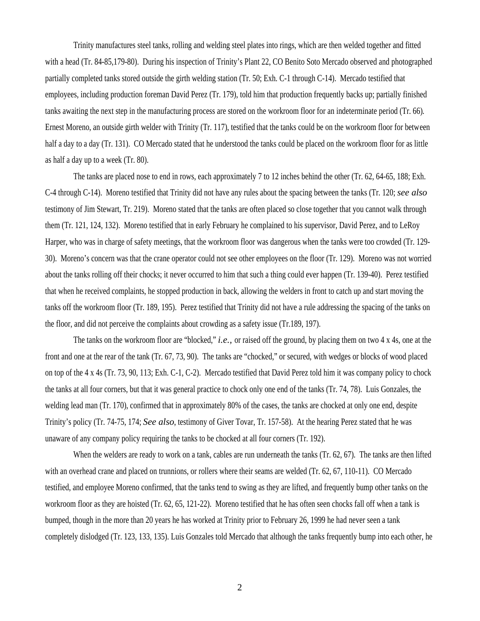Trinity manufactures steel tanks, rolling and welding steel plates into rings, which are then welded together and fitted with a head (Tr. 84-85,179-80). During his inspection of Trinity's Plant 22, CO Benito Soto Mercado observed and photographed partially completed tanks stored outside the girth welding station (Tr. 50; Exh. C-1 through C-14). Mercado testified that employees, including production foreman David Perez (Tr. 179), told him that production frequently backs up; partially finished tanks awaiting the next step in the manufacturing process are stored on the workroom floor for an indeterminate period (Tr. 66). Ernest Moreno, an outside girth welder with Trinity (Tr. 117), testified that the tanks could be on the workroom floor for between half a day to a day (Tr. 131). CO Mercado stated that he understood the tanks could be placed on the workroom floor for as little as half a day up to a week (Tr. 80).

The tanks are placed nose to end in rows, each approximately 7 to 12 inches behind the other (Tr. 62, 64-65, 188; Exh. C-4 through C-14). Moreno testified that Trinity did not have any rules about the spacing between the tanks (Tr. 120; *see also* testimony of Jim Stewart, Tr. 219). Moreno stated that the tanks are often placed so close together that you cannot walk through them (Tr. 121, 124, 132). Moreno testified that in early February he complained to his supervisor, David Perez, and to LeRoy Harper, who was in charge of safety meetings, that the workroom floor was dangerous when the tanks were too crowded (Tr. 129- 30). Moreno's concern was that the crane operator could not see other employees on the floor (Tr. 129). Moreno was not worried about the tanks rolling off their chocks; it never occurred to him that such a thing could ever happen (Tr. 139-40). Perez testified that when he received complaints, he stopped production in back, allowing the welders in front to catch up and start moving the tanks off the workroom floor (Tr. 189, 195). Perez testified that Trinity did not have a rule addressing the spacing of the tanks on the floor, and did not perceive the complaints about crowding as a safety issue (Tr.189, 197).

The tanks on the workroom floor are "blocked," *i.e.,* or raised off the ground, by placing them on two 4 x 4s, one at the front and one at the rear of the tank (Tr. 67, 73, 90). The tanks are "chocked," or secured, with wedges or blocks of wood placed on top of the 4 x 4s (Tr. 73, 90, 113; Exh. C-1, C-2). Mercado testified that David Perez told him it was company policy to chock the tanks at all four corners, but that it was general practice to chock only one end of the tanks (Tr. 74, 78). Luis Gonzales, the welding lead man (Tr. 170), confirmed that in approximately 80% of the cases, the tanks are chocked at only one end, despite Trinity's policy (Tr. 74-75, 174; *See also*, testimony of Giver Tovar, Tr. 157-58). At the hearing Perez stated that he was unaware of any company policy requiring the tanks to be chocked at all four corners (Tr. 192).

When the welders are ready to work on a tank, cables are run underneath the tanks (Tr. 62, 67). The tanks are then lifted with an overhead crane and placed on trunnions, or rollers where their seams are welded (Tr. 62, 67, 110-11). CO Mercado testified, and employee Moreno confirmed, that the tanks tend to swing as they are lifted, and frequently bump other tanks on the workroom floor as they are hoisted (Tr. 62, 65, 121-22). Moreno testified that he has often seen chocks fall off when a tank is bumped, though in the more than 20 years he has worked at Trinity prior to February 26, 1999 he had never seen a tank completely dislodged (Tr. 123, 133, 135). Luis Gonzales told Mercado that although the tanks frequently bump into each other, he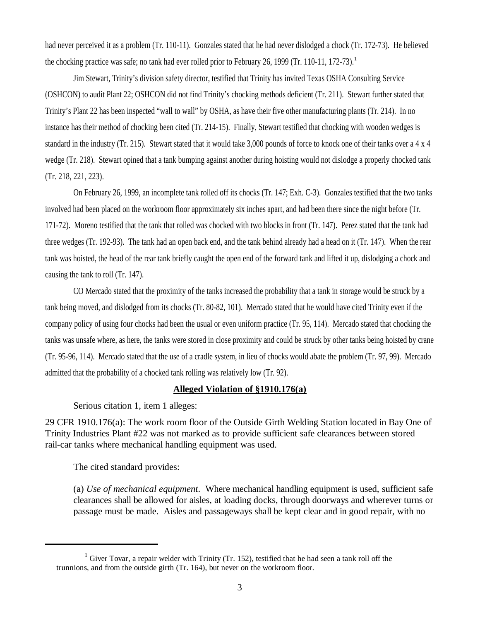had never perceived it as a problem (Tr. 110-11). Gonzales stated that he had never dislodged a chock (Tr. 172-73). He believed the chocking practice was safe; no tank had ever rolled prior to February 26, 1999 (Tr. 110-11, 172-73).<sup>1</sup>

Jim Stewart, Trinity's division safety director, testified that Trinity has invited Texas OSHA Consulting Service (OSHCON) to audit Plant 22; OSHCON did not find Trinity's chocking methods deficient (Tr. 211). Stewart further stated that Trinity's Plant 22 has been inspected "wall to wall" by OSHA, as have their five other manufacturing plants (Tr. 214). In no instance has their method of chocking been cited (Tr. 214-15). Finally, Stewart testified that chocking with wooden wedges is standard in the industry (Tr. 215). Stewart stated that it would take 3,000 pounds of force to knock one of their tanks over a 4 x 4 wedge (Tr. 218). Stewart opined that a tank bumping against another during hoisting would not dislodge a properly chocked tank (Tr. 218, 221, 223).

On February 26, 1999, an incomplete tank rolled off its chocks (Tr. 147; Exh. C-3). Gonzales testified that the two tanks involved had been placed on the workroom floor approximately six inches apart, and had been there since the night before (Tr. 171-72). Moreno testified that the tank that rolled was chocked with two blocks in front (Tr. 147). Perez stated that the tank had three wedges (Tr. 192-93). The tank had an open back end, and the tank behind already had a head on it (Tr. 147). When the rear tank was hoisted, the head of the rear tank briefly caught the open end of the forward tank and lifted it up, dislodging a chock and causing the tank to roll (Tr. 147).

CO Mercado stated that the proximity of the tanks increased the probability that a tank in storage would be struck by a tank being moved, and dislodged from its chocks (Tr. 80-82, 101). Mercado stated that he would have cited Trinity even if the company policy of using four chocks had been the usual or even uniform practice (Tr. 95, 114). Mercado stated that chocking the tanks was unsafe where, as here, the tanks were stored in close proximity and could be struck by other tanks being hoisted by crane (Tr. 95-96, 114). Mercado stated that the use of a cradle system, in lieu of chocks would abate the problem (Tr. 97, 99). Mercado admitted that the probability of a chocked tank rolling was relatively low (Tr. 92).

## **Alleged Violation of §1910.176(a)**

Serious citation 1, item 1 alleges:

29 CFR 1910.176(a): The work room floor of the Outside Girth Welding Station located in Bay One of Trinity Industries Plant #22 was not marked as to provide sufficient safe clearances between stored rail-car tanks where mechanical handling equipment was used.

The cited standard provides:

(a) *Use of mechanical equipment*. Where mechanical handling equipment is used, sufficient safe clearances shall be allowed for aisles, at loading docks, through doorways and wherever turns or passage must be made. Aisles and passageways shall be kept clear and in good repair, with no

<sup>&</sup>lt;sup>1</sup> Giver Tovar, a repair welder with Trinity (Tr. 152), testified that he had seen a tank roll off the trunnions, and from the outside girth (Tr. 164), but never on the workroom floor.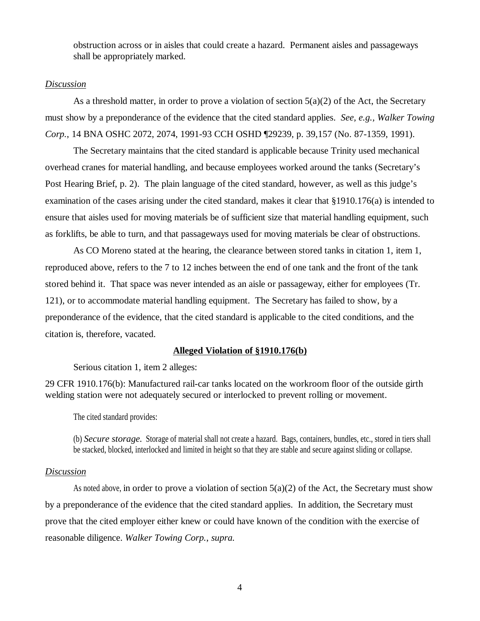obstruction across or in aisles that could create a hazard. Permanent aisles and passageways shall be appropriately marked.

### *Discussion*

As a threshold matter, in order to prove a violation of section  $5(a)(2)$  of the Act, the Secretary must show by a preponderance of the evidence that the cited standard applies. *See, e.g., Walker Towing Corp.*, 14 BNA OSHC 2072, 2074, 1991-93 CCH OSHD ¶29239, p. 39,157 (No. 87-1359, 1991).

The Secretary maintains that the cited standard is applicable because Trinity used mechanical overhead cranes for material handling, and because employees worked around the tanks (Secretary's Post Hearing Brief, p. 2). The plain language of the cited standard, however, as well as this judge's examination of the cases arising under the cited standard, makes it clear that §1910.176(a) is intended to ensure that aisles used for moving materials be of sufficient size that material handling equipment, such as forklifts, be able to turn, and that passageways used for moving materials be clear of obstructions.

As CO Moreno stated at the hearing, the clearance between stored tanks in citation 1, item 1, reproduced above, refers to the 7 to 12 inches between the end of one tank and the front of the tank stored behind it. That space was never intended as an aisle or passageway, either for employees (Tr. 121), or to accommodate material handling equipment. The Secretary has failed to show, by a preponderance of the evidence, that the cited standard is applicable to the cited conditions, and the citation is, therefore, vacated.

### **Alleged Violation of §1910.176(b)**

Serious citation 1, item 2 alleges:

29 CFR 1910.176(b): Manufactured rail-car tanks located on the workroom floor of the outside girth welding station were not adequately secured or interlocked to prevent rolling or movement.

The cited standard provides:

(b) *Secure storage.* Storage of material shall not create a hazard. Bags, containers, bundles, etc., stored in tiers shall be stacked, blocked, interlocked and limited in height so that they are stable and secure against sliding or collapse.

### *Discussion*

As noted above, in order to prove a violation of section  $5(a)(2)$  of the Act, the Secretary must show by a preponderance of the evidence that the cited standard applies. In addition, the Secretary must prove that the cited employer either knew or could have known of the condition with the exercise of reasonable diligence. *Walker Towing Corp.*, *supra.*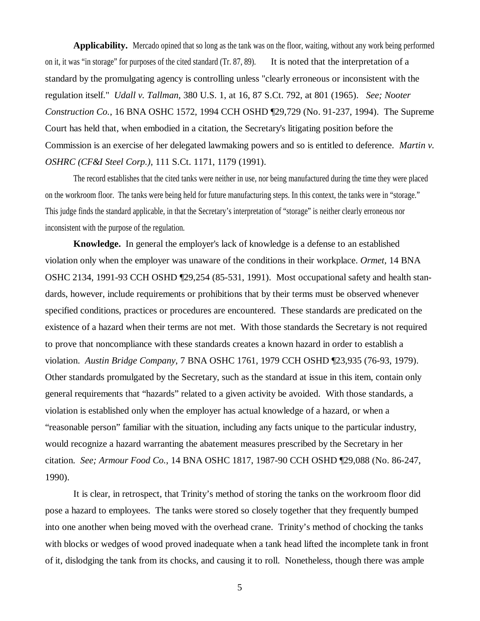**Applicability.** Mercado opined that so long as the tank was on the floor, waiting, without any work being performed on it, it was "in storage" for purposes of the cited standard (Tr. 87, 89). It is noted that the interpretation of a standard by the promulgating agency is controlling unless "clearly erroneous or inconsistent with the regulation itself." *Udall v. Tallman*, 380 U.S. 1, at 16, 87 S.Ct. 792, at 801 (1965). *See; Nooter Construction Co.*, 16 BNA OSHC 1572, 1994 CCH OSHD ¶29,729 (No. 91-237, 1994). The Supreme Court has held that, when embodied in a citation, the Secretary's litigating position before the Commission is an exercise of her delegated lawmaking powers and so is entitled to deference. *Martin v. OSHRC (CF&I Steel Corp.)*, 111 S.Ct. 1171, 1179 (1991).

The record establishes that the cited tanks were neither in use, nor being manufactured during the time they were placed on the workroom floor. The tanks were being held for future manufacturing steps. In this context, the tanks were in "storage." This judge finds the standard applicable, in that the Secretary's interpretation of "storage" is neither clearly erroneous nor inconsistent with the purpose of the regulation.

**Knowledge.** In general the employer's lack of knowledge is a defense to an established violation only when the employer was unaware of the conditions in their workplace. *Ormet,* 14 BNA OSHC 2134, 1991-93 CCH OSHD ¶29,254 (85-531, 1991). Most occupational safety and health standards, however, include requirements or prohibitions that by their terms must be observed whenever specified conditions, practices or procedures are encountered. These standards are predicated on the existence of a hazard when their terms are not met. With those standards the Secretary is not required to prove that noncompliance with these standards creates a known hazard in order to establish a violation. *Austin Bridge Company*, 7 BNA OSHC 1761, 1979 CCH OSHD ¶23,935 (76-93, 1979). Other standards promulgated by the Secretary, such as the standard at issue in this item, contain only general requirements that "hazards" related to a given activity be avoided. With those standards, a violation is established only when the employer has actual knowledge of a hazard, or when a "reasonable person" familiar with the situation, including any facts unique to the particular industry, would recognize a hazard warranting the abatement measures prescribed by the Secretary in her citation. *See; Armour Food Co.*, 14 BNA OSHC 1817, 1987-90 CCH OSHD ¶29,088 (No. 86-247, 1990).

It is clear, in retrospect, that Trinity's method of storing the tanks on the workroom floor did pose a hazard to employees. The tanks were stored so closely together that they frequently bumped into one another when being moved with the overhead crane. Trinity's method of chocking the tanks with blocks or wedges of wood proved inadequate when a tank head lifted the incomplete tank in front of it, dislodging the tank from its chocks, and causing it to roll. Nonetheless, though there was ample

5